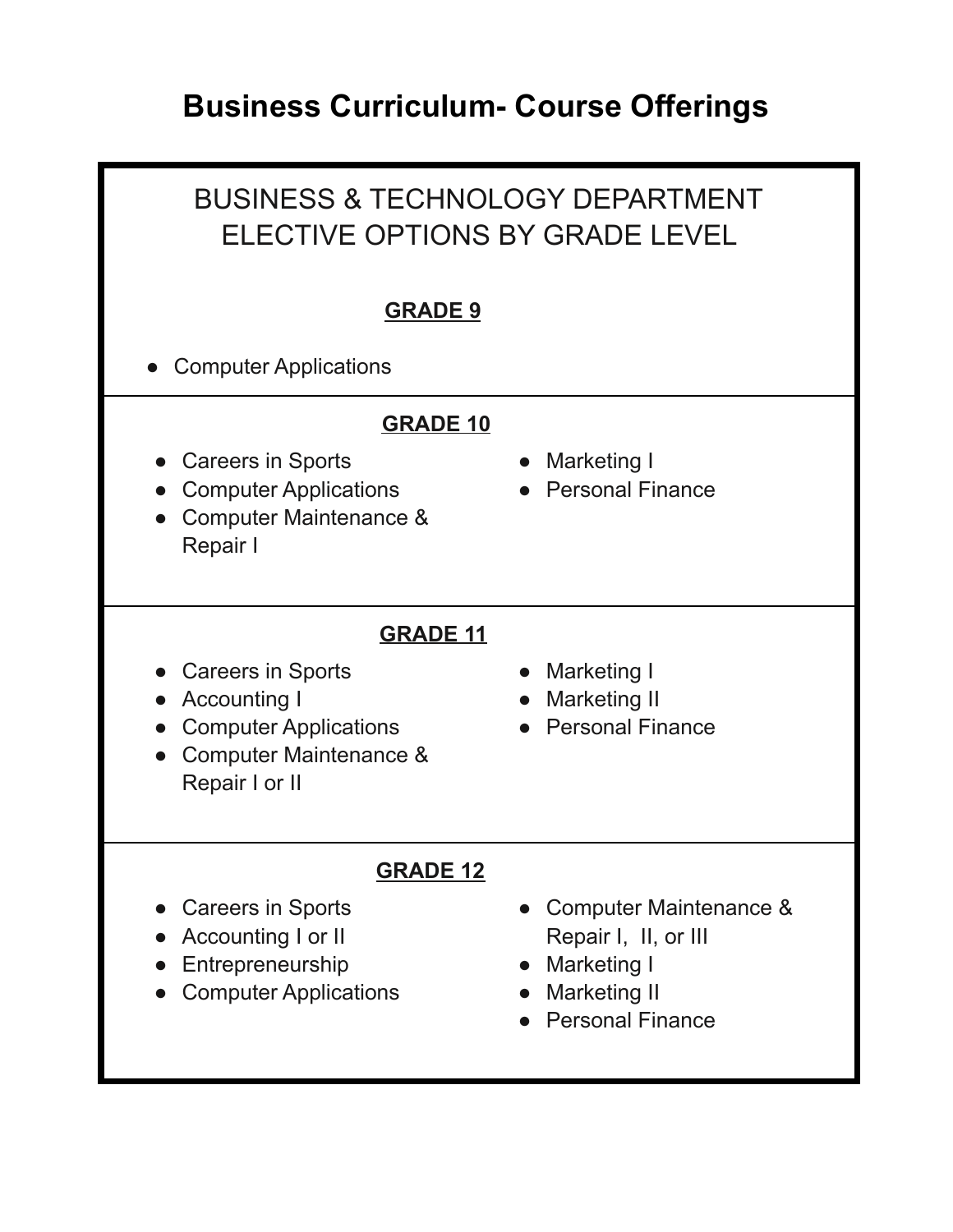# **Business Curriculum- Course Offerings**

### BUSINESS & TECHNOLOGY DEPARTMENT ELECTIVE OPTIONS BY GRADE LEVEL **GRADE 9 Computer Applications GRADE 10** ● Careers in Sports • Computer Applications ● Computer Maintenance & Repair I ● Marketing I ● Personal Finance **GRADE 11** ● Careers in Sports ● Accounting I • Computer Applications ● Computer Maintenance & Repair I or II ● Marketing I ● Marketing II ● Personal Finance **GRADE 12** ● Careers in Sports ● Accounting I or II ● Entrepreneurship • Computer Applications ● Computer Maintenance & Repair I, II, or III ● Marketing I ● Marketing II ● Personal Finance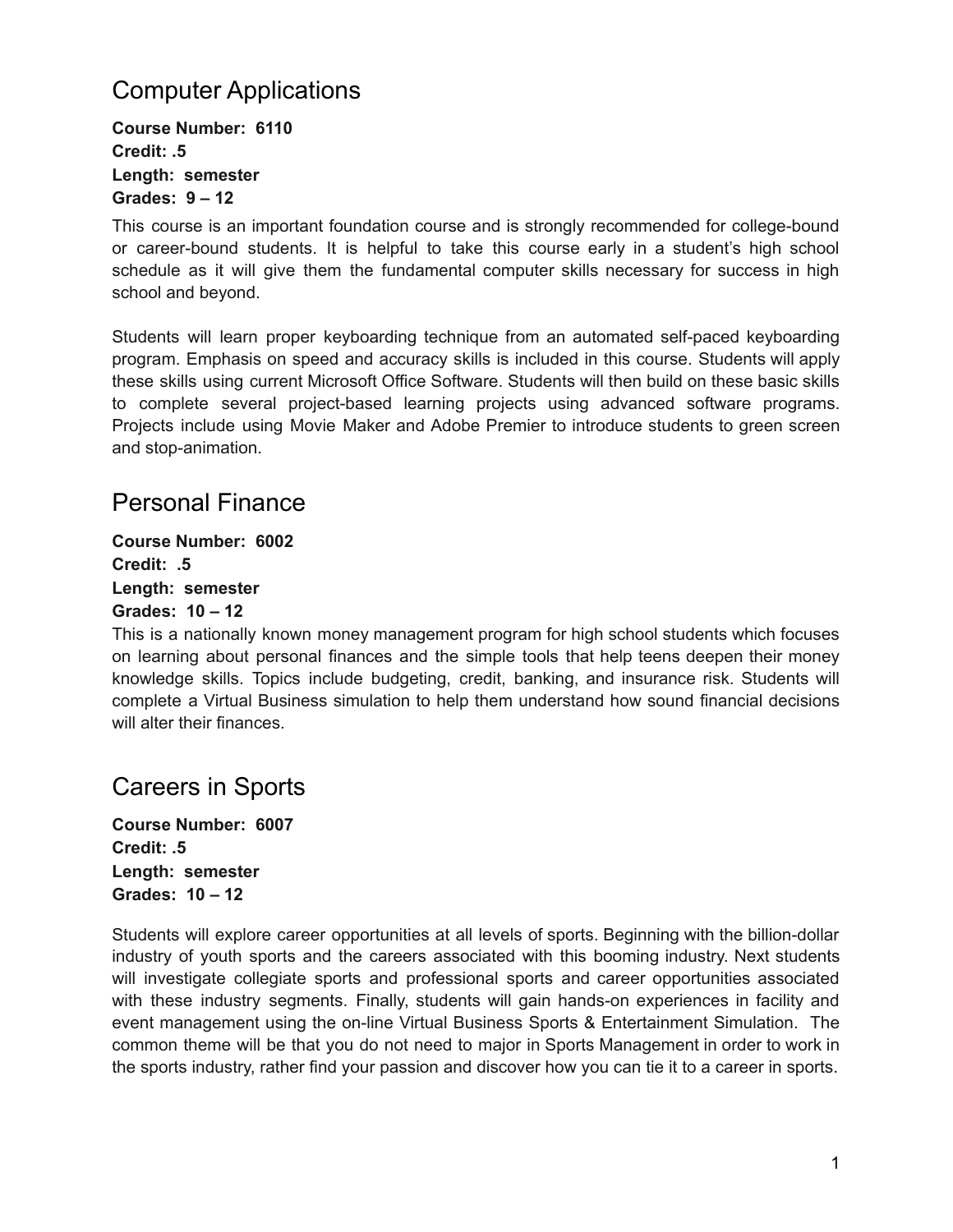### Computer Applications

**Course Number: 6110 Credit: .5 Length: semester Grades: 9 – 12**

This course is an important foundation course and is strongly recommended for college-bound or career-bound students. It is helpful to take this course early in a student's high school schedule as it will give them the fundamental computer skills necessary for success in high school and beyond.

Students will learn proper keyboarding technique from an automated self-paced keyboarding program. Emphasis on speed and accuracy skills is included in this course. Students will apply these skills using current Microsoft Office Software. Students will then build on these basic skills to complete several project-based learning projects using advanced software programs. Projects include using Movie Maker and Adobe Premier to introduce students to green screen and stop-animation.

#### Personal Finance

**Course Number: 6002 Credit: .5 Length: semester Grades: 10 – 12**

This is a nationally known money management program for high school students which focuses on learning about personal finances and the simple tools that help teens deepen their money knowledge skills. Topics include budgeting, credit, banking, and insurance risk. Students will complete a Virtual Business simulation to help them understand how sound financial decisions will alter their finances.

#### Careers in Sports

**Course Number: 6007 Credit: .5 Length: semester Grades: 10 – 12**

Students will explore career opportunities at all levels of sports. Beginning with the billion-dollar industry of youth sports and the careers associated with this booming industry. Next students will investigate collegiate sports and professional sports and career opportunities associated with these industry segments. Finally, students will gain hands-on experiences in facility and event management using the on-line Virtual Business Sports & Entertainment Simulation. The common theme will be that you do not need to major in Sports Management in order to work in the sports industry, rather find your passion and discover how you can tie it to a career in sports.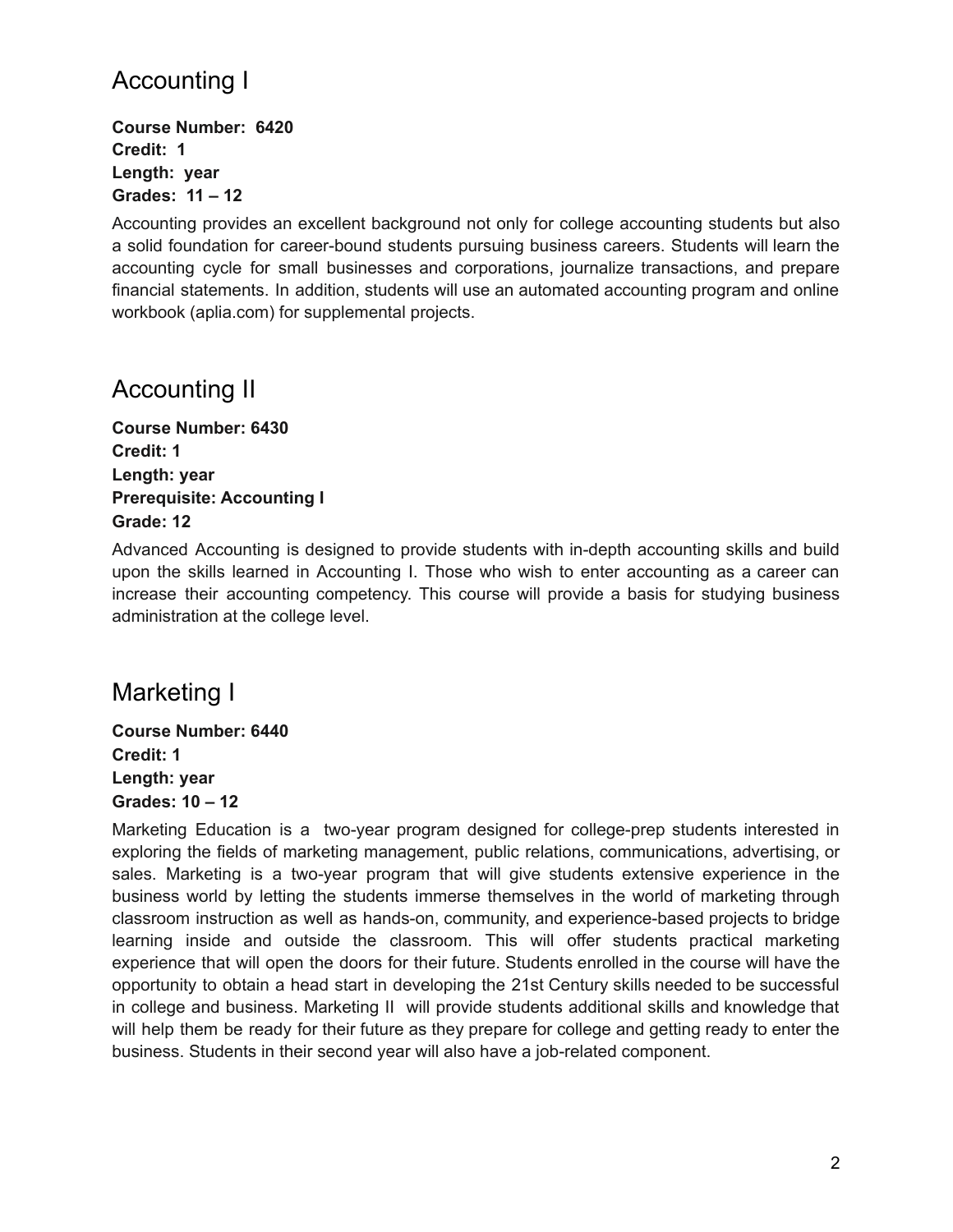### Accounting I

**Course Number: 6420 Credit: 1 Length: year Grades: 11 – 12**

Accounting provides an excellent background not only for college accounting students but also a solid foundation for career-bound students pursuing business careers. Students will learn the accounting cycle for small businesses and corporations, journalize transactions, and prepare financial statements. In addition, students will use an automated accounting program and online workbook (aplia.com) for supplemental projects.

#### Accounting II

**Course Number: 6430 Credit: 1 Length: year Prerequisite: Accounting I Grade: 12**

Advanced Accounting is designed to provide students with in-depth accounting skills and build upon the skills learned in Accounting I. Those who wish to enter accounting as a career can increase their accounting competency. This course will provide a basis for studying business administration at the college level.

#### Marketing I

**Course Number: 6440 Credit: 1 Length: year Grades: 10 – 12**

Marketing Education is a two-year program designed for college-prep students interested in exploring the fields of marketing management, public relations, communications, advertising, or sales. Marketing is a two-year program that will give students extensive experience in the business world by letting the students immerse themselves in the world of marketing through classroom instruction as well as hands-on, community, and experience-based projects to bridge learning inside and outside the classroom. This will offer students practical marketing experience that will open the doors for their future. Students enrolled in the course will have the opportunity to obtain a head start in developing the 21st Century skills needed to be successful in college and business. Marketing II will provide students additional skills and knowledge that will help them be ready for their future as they prepare for college and getting ready to enter the business. Students in their second year will also have a job-related component.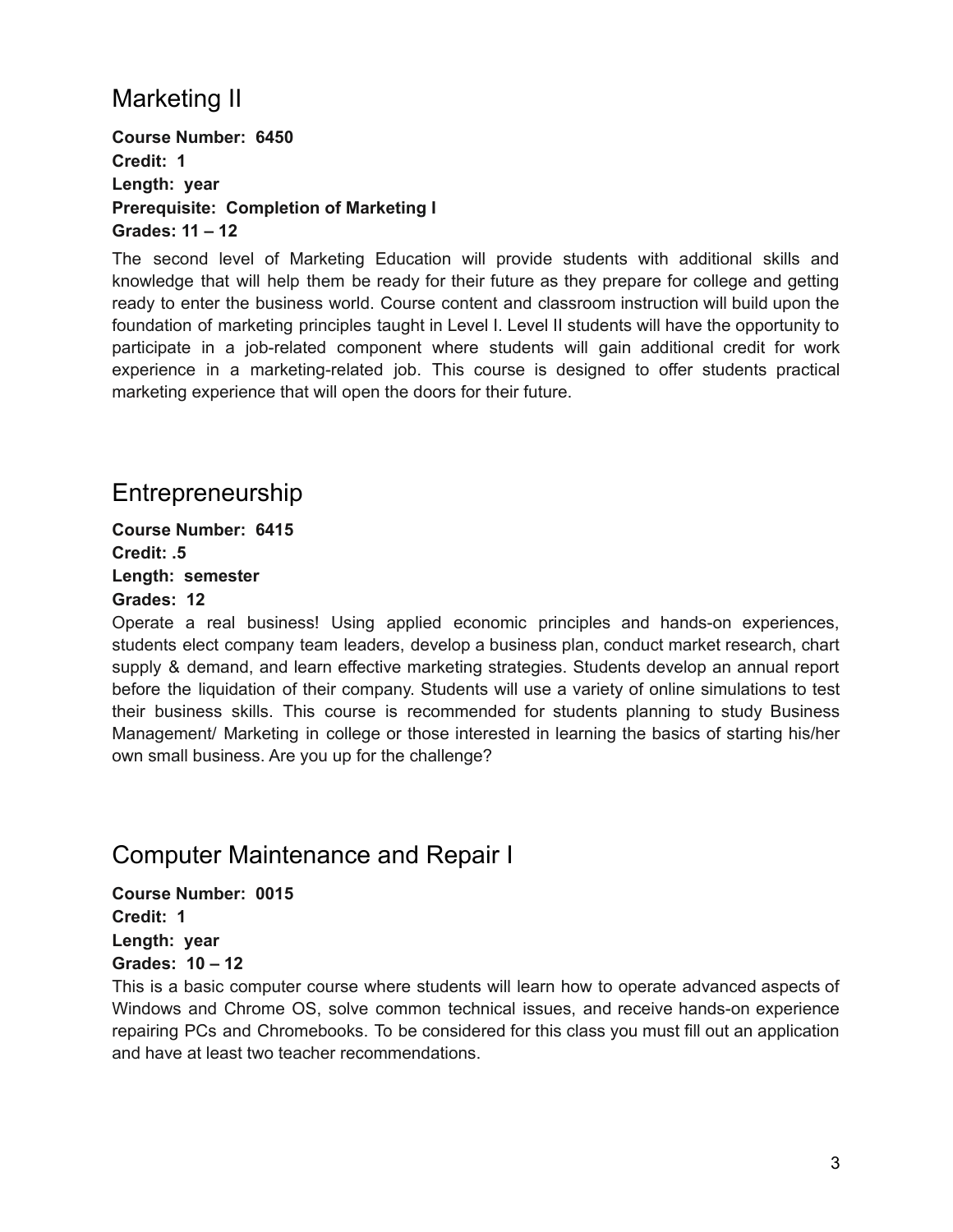### Marketing II

**Course Number: 6450 Credit: 1 Length: year Prerequisite: Completion of Marketing I Grades: 11 – 12**

The second level of Marketing Education will provide students with additional skills and knowledge that will help them be ready for their future as they prepare for college and getting ready to enter the business world. Course content and classroom instruction will build upon the foundation of marketing principles taught in Level I. Level II students will have the opportunity to participate in a job-related component where students will gain additional credit for work experience in a marketing-related job. This course is designed to offer students practical marketing experience that will open the doors for their future.

#### Entrepreneurship

**Course Number: 6415 Credit: .5 Length: semester Grades: 12**

Operate a real business! Using applied economic principles and hands-on experiences, students elect company team leaders, develop a business plan, conduct market research, chart supply & demand, and learn effective marketing strategies. Students develop an annual report before the liquidation of their company. Students will use a variety of online simulations to test their business skills. This course is recommended for students planning to study Business Management/ Marketing in college or those interested in learning the basics of starting his/her own small business. Are you up for the challenge?

#### Computer Maintenance and Repair I

**Course Number: 0015 Credit: 1 Length: year Grades: 10 – 12**

This is a basic computer course where students will learn how to operate advanced aspects of Windows and Chrome OS, solve common technical issues, and receive hands-on experience repairing PCs and Chromebooks. To be considered for this class you must fill out an application and have at least two teacher recommendations.